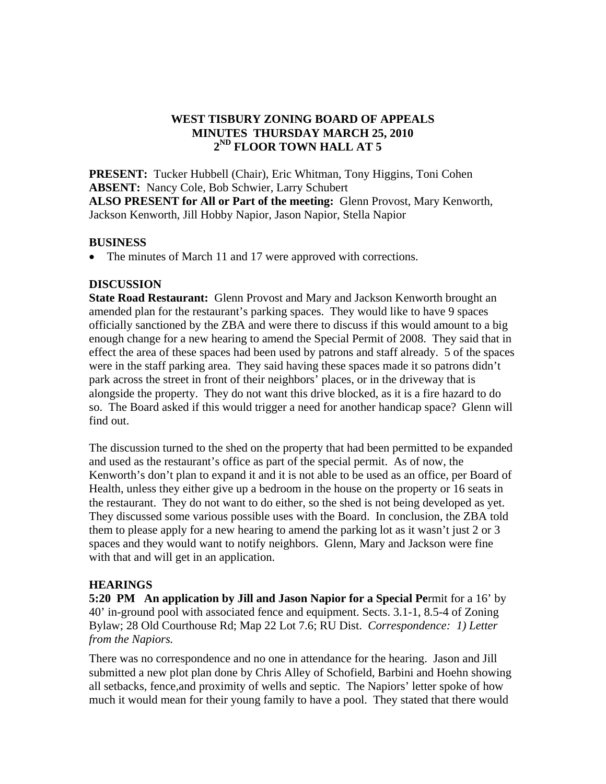## **WEST TISBURY ZONING BOARD OF APPEALS MINUTES THURSDAY MARCH 25, 2010 2ND FLOOR TOWN HALL AT 5**

**PRESENT:** Tucker Hubbell (Chair), Eric Whitman, Tony Higgins, Toni Cohen **ABSENT:** Nancy Cole, Bob Schwier, Larry Schubert **ALSO PRESENT for All or Part of the meeting:** Glenn Provost, Mary Kenworth, Jackson Kenworth, Jill Hobby Napior, Jason Napior, Stella Napior

#### **BUSINESS**

• The minutes of March 11 and 17 were approved with corrections.

### **DISCUSSION**

**State Road Restaurant:** Glenn Provost and Mary and Jackson Kenworth brought an amended plan for the restaurant's parking spaces. They would like to have 9 spaces officially sanctioned by the ZBA and were there to discuss if this would amount to a big enough change for a new hearing to amend the Special Permit of 2008. They said that in effect the area of these spaces had been used by patrons and staff already. 5 of the spaces were in the staff parking area. They said having these spaces made it so patrons didn't park across the street in front of their neighbors' places, or in the driveway that is alongside the property. They do not want this drive blocked, as it is a fire hazard to do so. The Board asked if this would trigger a need for another handicap space? Glenn will find out.

The discussion turned to the shed on the property that had been permitted to be expanded and used as the restaurant's office as part of the special permit. As of now, the Kenworth's don't plan to expand it and it is not able to be used as an office, per Board of Health, unless they either give up a bedroom in the house on the property or 16 seats in the restaurant. They do not want to do either, so the shed is not being developed as yet. They discussed some various possible uses with the Board. In conclusion, the ZBA told them to please apply for a new hearing to amend the parking lot as it wasn't just 2 or 3 spaces and they would want to notify neighbors. Glenn, Mary and Jackson were fine with that and will get in an application.

## **HEARINGS**

**5:20 PM An application by Jill and Jason Napior for a Special Pe**rmit for a 16' by 40' in-ground pool with associated fence and equipment. Sects. 3.1-1, 8.5-4 of Zoning Bylaw; 28 Old Courthouse Rd; Map 22 Lot 7.6; RU Dist. *Correspondence: 1) Letter from the Napiors.* 

There was no correspondence and no one in attendance for the hearing. Jason and Jill submitted a new plot plan done by Chris Alley of Schofield, Barbini and Hoehn showing all setbacks, fence,and proximity of wells and septic. The Napiors' letter spoke of how much it would mean for their young family to have a pool. They stated that there would